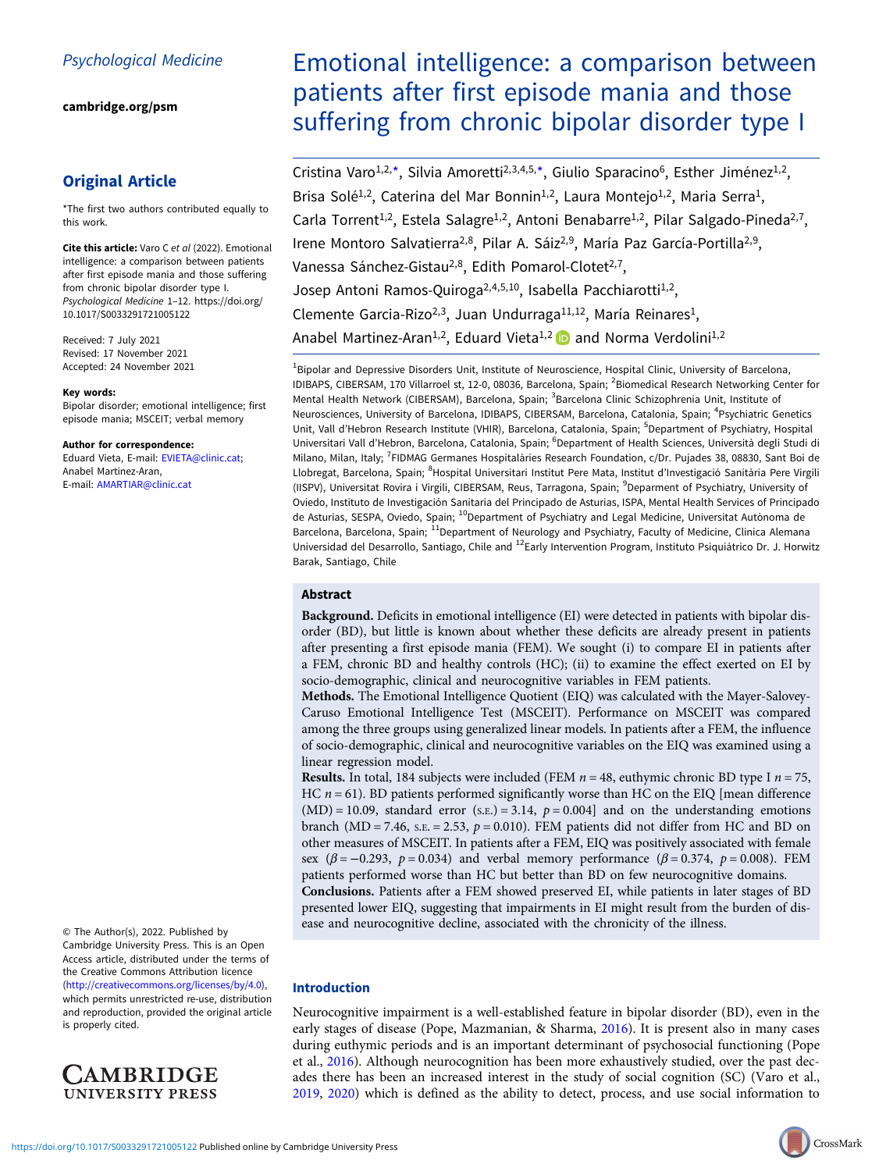[cambridge.org/psm](https://www.cambridge.org/psm)

## Original Article

\*The first two authors contributed equally to this work.

Cite this article: Varo C et al (2022). Emotional intelligence: a comparison between patients after first episode mania and those suffering from chronic bipolar disorder type I. Psychological Medicine 1–12. [https://doi.org/](https://doi.org/10.1017/S0033291721005122) [10.1017/S0033291721005122](https://doi.org/10.1017/S0033291721005122)

Received: 7 July 2021 Revised: 17 November 2021 Accepted: 24 November 2021

#### Key words:

Bipolar disorder; emotional intelligence; first episode mania; MSCEIT; verbal memory

#### Author for correspondence:

Eduard Vieta, E-mail: [EVIETA@clinic.cat;](mailto:EVIETA@clinic.cat) Anabel Martinez-Aran, E-mail: [AMARTIAR@clinic.cat](mailto:AMARTIAR@clinic.cat)

© The Author(s), 2022. Published by Cambridge University Press. This is an Open Access article, distributed under the terms of the Creative Commons Attribution licence (<http://creativecommons.org/licenses/by/4.0>), which permits unrestricted re-use, distribution and reproduction, provided the original article is properly cited.



# Emotional intelligence: a comparison between patients after first episode mania and those suffering from chronic bipolar disorder type I

Cristina Varo<sup>1,2,\*</sup>, Silvia Amoretti<sup>2,3,4,5,\*</sup>, Giulio Sparacino<sup>6</sup>, Esther Jiménez<sup>1,2</sup>, Brisa Solé<sup>1,2</sup>, Caterina del Mar Bonnin<sup>1,2</sup>, Laura Montejo<sup>1,2</sup>, Maria Serra<sup>1</sup>, Carla Torrent<sup>1,2</sup>, Estela Salagre<sup>1,2</sup>, Antoni Benabarre<sup>1,2</sup>, Pilar Salgado-Pineda<sup>2,7</sup>, Irene Montoro Salvatierra<sup>2,8</sup>, Pilar A. Sáiz<sup>2,9</sup>, María Paz García-Portilla<sup>2,9</sup>, Vanessa Sánchez-Gistau<sup>2,8</sup>, Edith Pomarol-Clotet<sup>2,7</sup>, Josep Antoni Ramos-Quiroga<sup>2,4,5,10</sup>, Isabella Pacchiarotti<sup>1,2</sup>, Clemente Garcia-Rizo<sup>2,3</sup>, Juan Undurraga<sup>11,12</sup>, María Reinares<sup>1</sup>, Anabel Martinez-Aran<sup>1,2</sup>, Eduard Vieta<sup>1,2</sup> and Norma Verdolini<sup>1,2</sup>

<sup>1</sup>Bipolar and Depressive Disorders Unit, Institute of Neuroscience, Hospital Clinic, University of Barcelona, IDIBAPS, CIBERSAM, 170 Villarroel st, 12-0, 08036, Barcelona, Spain; <sup>2</sup>Biomedical Research Networking Center for Mental Health Network (CIBERSAM), Barcelona, Spain; <sup>3</sup>Barcelona Clinic Schizophrenia Unit, Institute of Neurosciences, University of Barcelona, IDIBAPS, CIBERSAM, Barcelona, Catalonia, Spain; <sup>4</sup>Psychiatric Genetics Unit, Vall d'Hebron Research Institute (VHIR), Barcelona, Catalonia, Spain; <sup>5</sup>Department of Psychiatry, Hospital Universitari Vall d'Hebron, Barcelona, Catalonia, Spain; <sup>6</sup>Department of Health Sciences, Università degli Studi di Milano, Milan, Italy; <sup>7</sup>FIDMAG Germanes Hospitalàries Research Foundation, c/Dr. Pujades 38, 08830, Sant Boi de Llobregat, Barcelona, Spain; <sup>8</sup>Hospital Universitari Institut Pere Mata, Institut d'Investigació Sanitària Pere Virgili (IISPV), Universitat Rovira i Virgili, CIBERSAM, Reus, Tarragona, Spain; <sup>9</sup>Deparment of Psychiatry, University of Oviedo, Instituto de Investigación Sanitaria del Principado de Asturias, ISPA, Mental Health Services of Principado de Asturias, SESPA, Oviedo, Spain; <sup>10</sup>Department of Psychiatry and Legal Medicine, Universitat Autònoma de Barcelona, Barcelona, Spain; <sup>11</sup>Department of Neurology and Psychiatry, Faculty of Medicine, Clinica Alemana Universidad del Desarrollo, Santiago, Chile and <sup>12</sup>Early Intervention Program, Instituto Psiquiátrico Dr. J. Horwitz Barak, Santiago, Chile

## Abstract

Background. Deficits in emotional intelligence (EI) were detected in patients with bipolar disorder (BD), but little is known about whether these deficits are already present in patients after presenting a first episode mania (FEM). We sought (i) to compare EI in patients after a FEM, chronic BD and healthy controls (HC); (ii) to examine the effect exerted on EI by socio-demographic, clinical and neurocognitive variables in FEM patients.

Methods. The Emotional Intelligence Quotient (EIQ) was calculated with the Mayer-Salovey-Caruso Emotional Intelligence Test (MSCEIT). Performance on MSCEIT was compared among the three groups using generalized linear models. In patients after a FEM, the influence of socio-demographic, clinical and neurocognitive variables on the EIQ was examined using a linear regression model.

**Results.** In total, 184 subjects were included (FEM  $n = 48$ , euthymic chronic BD type I  $n = 75$ , HC  $n = 61$ ). BD patients performed significantly worse than HC on the EIQ [mean difference  $(MD) = 10.09$ , standard error (s.e.) = 3.14,  $p = 0.004$ ] and on the understanding emotions branch (MD = 7.46, s.e. = 2.53,  $p = 0.010$ ). FEM patients did not differ from HC and BD on other measures of MSCEIT. In patients after a FEM, EIQ was positively associated with female sex  $(\beta = -0.293, p = 0.034)$  and verbal memory performance  $(\beta = 0.374, p = 0.008)$ . FEM patients performed worse than HC but better than BD on few neurocognitive domains.

Conclusions. Patients after a FEM showed preserved EI, while patients in later stages of BD presented lower EIQ, suggesting that impairments in EI might result from the burden of disease and neurocognitive decline, associated with the chronicity of the illness.

## Introduction

Neurocognitive impairment is a well-established feature in bipolar disorder (BD), even in the early stages of disease (Pope, Mazmanian, & Sharma, [2016\)](#page-10-0). It is present also in many cases during euthymic periods and is an important determinant of psychosocial functioning (Pope et al., [2016\)](#page-10-0). Although neurocognition has been more exhaustively studied, over the past decades there has been an increased interest in the study of social cognition (SC) (Varo et al., [2019,](#page-11-0) [2020](#page-11-0)) which is defined as the ability to detect, process, and use social information to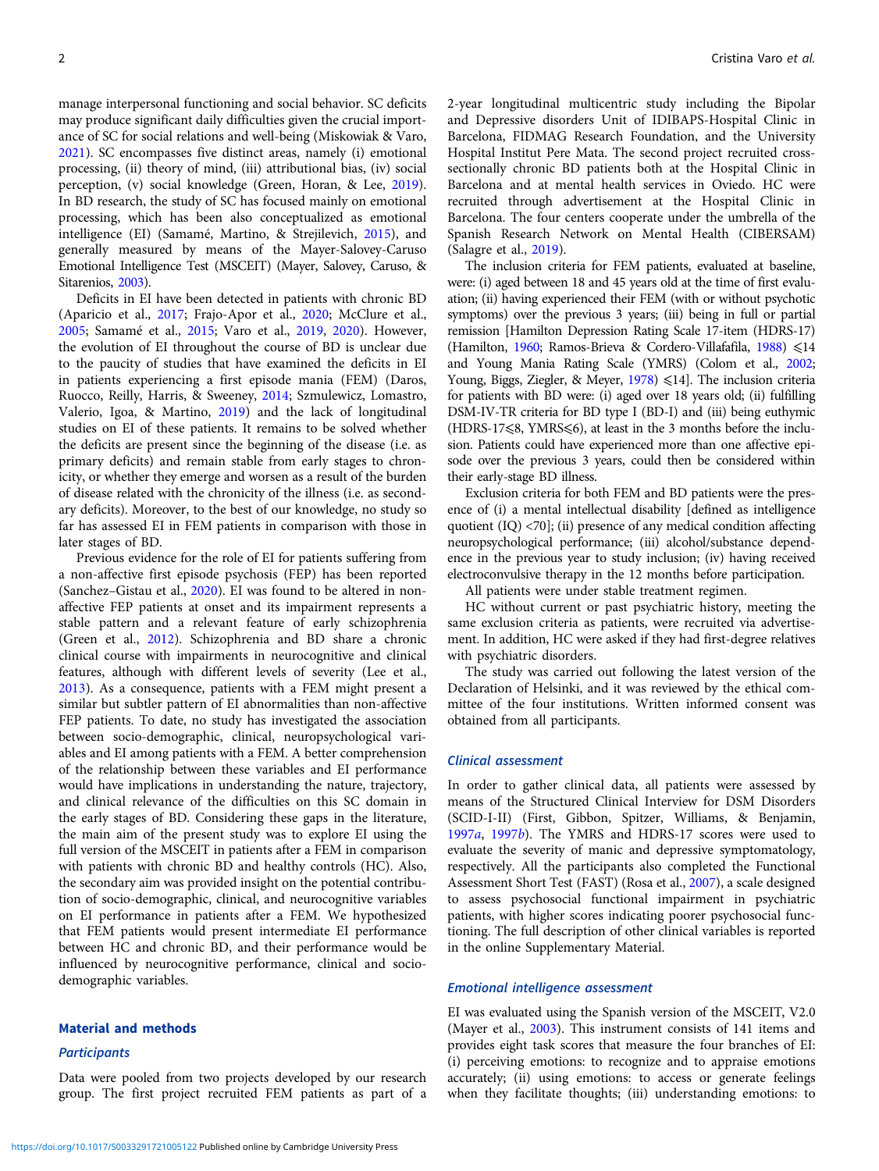manage interpersonal functioning and social behavior. SC deficits may produce significant daily difficulties given the crucial importance of SC for social relations and well-being (Miskowiak & Varo, [2021\)](#page-10-0). SC encompasses five distinct areas, namely (i) emotional processing, (ii) theory of mind, (iii) attributional bias, (iv) social perception, (v) social knowledge (Green, Horan, & Lee, [2019\)](#page-10-0). In BD research, the study of SC has focused mainly on emotional processing, which has been also conceptualized as emotional intelligence (EI) (Samamé, Martino, & Strejilevich, [2015\)](#page-11-0), and generally measured by means of the Mayer-Salovey-Caruso Emotional Intelligence Test (MSCEIT) (Mayer, Salovey, Caruso, & Sitarenios, [2003](#page-10-0)).

Deficits in EI have been detected in patients with chronic BD (Aparicio et al., [2017;](#page-10-0) Frajo-Apor et al., [2020;](#page-10-0) McClure et al., [2005;](#page-10-0) Samamé et al., [2015](#page-11-0); Varo et al., [2019](#page-11-0), [2020\)](#page-11-0). However, the evolution of EI throughout the course of BD is unclear due to the paucity of studies that have examined the deficits in EI in patients experiencing a first episode mania (FEM) (Daros, Ruocco, Reilly, Harris, & Sweeney, [2014;](#page-10-0) Szmulewicz, Lomastro, Valerio, Igoa, & Martino, [2019](#page-11-0)) and the lack of longitudinal studies on EI of these patients. It remains to be solved whether the deficits are present since the beginning of the disease (i.e. as primary deficits) and remain stable from early stages to chronicity, or whether they emerge and worsen as a result of the burden of disease related with the chronicity of the illness (i.e. as secondary deficits). Moreover, to the best of our knowledge, no study so far has assessed EI in FEM patients in comparison with those in later stages of BD.

Previous evidence for the role of EI for patients suffering from a non-affective first episode psychosis (FEP) has been reported (Sanchez–Gistau et al., [2020\)](#page-11-0). EI was found to be altered in nonaffective FEP patients at onset and its impairment represents a stable pattern and a relevant feature of early schizophrenia (Green et al., [2012](#page-10-0)). Schizophrenia and BD share a chronic clinical course with impairments in neurocognitive and clinical features, although with different levels of severity (Lee et al., [2013\)](#page-10-0). As a consequence, patients with a FEM might present a similar but subtler pattern of EI abnormalities than non-affective FEP patients. To date, no study has investigated the association between socio-demographic, clinical, neuropsychological variables and EI among patients with a FEM. A better comprehension of the relationship between these variables and EI performance would have implications in understanding the nature, trajectory, and clinical relevance of the difficulties on this SC domain in the early stages of BD. Considering these gaps in the literature, the main aim of the present study was to explore EI using the full version of the MSCEIT in patients after a FEM in comparison with patients with chronic BD and healthy controls (HC). Also, the secondary aim was provided insight on the potential contribution of socio-demographic, clinical, and neurocognitive variables on EI performance in patients after a FEM. We hypothesized that FEM patients would present intermediate EI performance between HC and chronic BD, and their performance would be influenced by neurocognitive performance, clinical and sociodemographic variables.

#### Material and methods

#### **Participants**

Data were pooled from two projects developed by our research group. The first project recruited FEM patients as part of a 2-year longitudinal multicentric study including the Bipolar and Depressive disorders Unit of IDIBAPS-Hospital Clinic in Barcelona, FIDMAG Research Foundation, and the University Hospital Institut Pere Mata. The second project recruited crosssectionally chronic BD patients both at the Hospital Clinic in Barcelona and at mental health services in Oviedo. HC were recruited through advertisement at the Hospital Clinic in Barcelona. The four centers cooperate under the umbrella of the Spanish Research Network on Mental Health (CIBERSAM) (Salagre et al., [2019\)](#page-11-0).

The inclusion criteria for FEM patients, evaluated at baseline, were: (i) aged between 18 and 45 years old at the time of first evaluation; (ii) having experienced their FEM (with or without psychotic symptoms) over the previous 3 years; (iii) being in full or partial remission [Hamilton Depression Rating Scale 17-item (HDRS-17) (Hamilton, [1960;](#page-10-0) Ramos-Brieva & Cordero-Villafafila, [1988](#page-11-0))  $\leq 14$ and Young Mania Rating Scale (YMRS) (Colom et al., [2002;](#page-10-0) Young, Biggs, Ziegler, & Meyer,  $1978$ )  $\leq$ 14]. The inclusion criteria for patients with BD were: (i) aged over 18 years old; (ii) fulfilling DSM-IV-TR criteria for BD type I (BD-I) and (iii) being euthymic  $(HDRS-17\leq 8, YMRS\leq 6)$ , at least in the 3 months before the inclusion. Patients could have experienced more than one affective episode over the previous 3 years, could then be considered within their early-stage BD illness.

Exclusion criteria for both FEM and BD patients were the presence of (i) a mental intellectual disability [defined as intelligence quotient  $(IQ)$  <70]; (ii) presence of any medical condition affecting neuropsychological performance; (iii) alcohol/substance dependence in the previous year to study inclusion; (iv) having received electroconvulsive therapy in the 12 months before participation.

All patients were under stable treatment regimen.

HC without current or past psychiatric history, meeting the same exclusion criteria as patients, were recruited via advertisement. In addition, HC were asked if they had first-degree relatives with psychiatric disorders.

The study was carried out following the latest version of the Declaration of Helsinki, and it was reviewed by the ethical committee of the four institutions. Written informed consent was obtained from all participants.

#### Clinical assessment

In order to gather clinical data, all patients were assessed by means of the Structured Clinical Interview for DSM Disorders (SCID-I-II) (First, Gibbon, Spitzer, Williams, & Benjamin, [1997](#page-10-0)a, [1997](#page-10-0)b). The YMRS and HDRS-17 scores were used to evaluate the severity of manic and depressive symptomatology, respectively. All the participants also completed the Functional Assessment Short Test (FAST) (Rosa et al., [2007](#page-11-0)), a scale designed to assess psychosocial functional impairment in psychiatric patients, with higher scores indicating poorer psychosocial functioning. The full description of other clinical variables is reported in the online Supplementary Material.

## Emotional intelligence assessment

EI was evaluated using the Spanish version of the MSCEIT, V2.0 (Mayer et al., [2003](#page-10-0)). This instrument consists of 141 items and provides eight task scores that measure the four branches of EI: (i) perceiving emotions: to recognize and to appraise emotions accurately; (ii) using emotions: to access or generate feelings when they facilitate thoughts; (iii) understanding emotions: to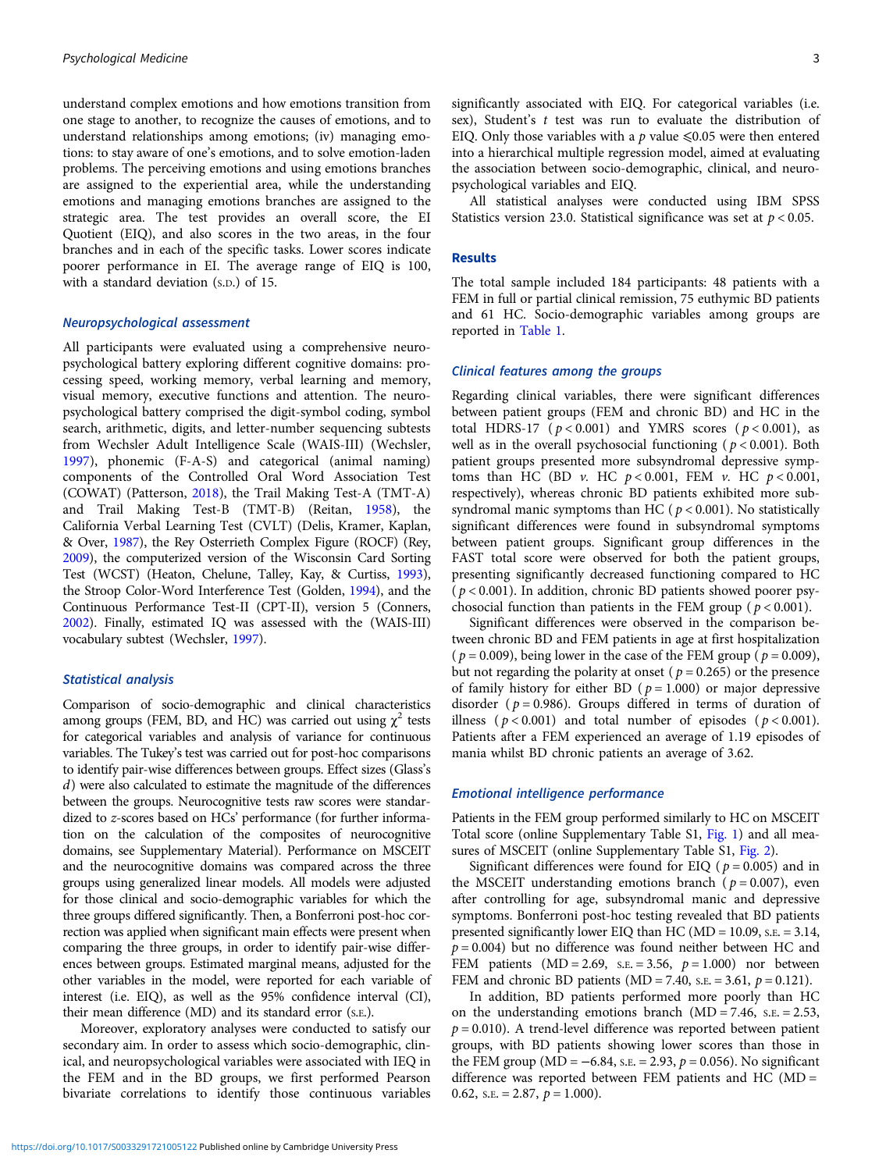understand complex emotions and how emotions transition from one stage to another, to recognize the causes of emotions, and to understand relationships among emotions; (iv) managing emotions: to stay aware of one's emotions, and to solve emotion-laden problems. The perceiving emotions and using emotions branches are assigned to the experiential area, while the understanding emotions and managing emotions branches are assigned to the strategic area. The test provides an overall score, the EI Quotient (EIQ), and also scores in the two areas, in the four branches and in each of the specific tasks. Lower scores indicate poorer performance in EI. The average range of EIQ is 100, with a standard deviation (S.D.) of 15.

## Neuropsychological assessment

All participants were evaluated using a comprehensive neuropsychological battery exploring different cognitive domains: processing speed, working memory, verbal learning and memory, visual memory, executive functions and attention. The neuropsychological battery comprised the digit-symbol coding, symbol search, arithmetic, digits, and letter-number sequencing subtests from Wechsler Adult Intelligence Scale (WAIS-III) (Wechsler, [1997\)](#page-11-0), phonemic (F-A-S) and categorical (animal naming) components of the Controlled Oral Word Association Test (COWAT) (Patterson, [2018](#page-10-0)), the Trail Making Test-A (TMT-A) and Trail Making Test-B (TMT-B) (Reitan, [1958\)](#page-11-0), the California Verbal Learning Test (CVLT) (Delis, Kramer, Kaplan, & Over, [1987](#page-10-0)), the Rey Osterrieth Complex Figure (ROCF) (Rey, [2009](#page-11-0)), the computerized version of the Wisconsin Card Sorting Test (WCST) (Heaton, Chelune, Talley, Kay, & Curtiss, [1993\)](#page-10-0), the Stroop Color-Word Interference Test (Golden, [1994\)](#page-10-0), and the Continuous Performance Test-II (CPT-II), version 5 (Conners, [2002](#page-10-0)). Finally, estimated IQ was assessed with the (WAIS-III) vocabulary subtest (Wechsler, [1997](#page-11-0)).

## Statistical analysis

Comparison of socio-demographic and clinical characteristics among groups (FEM, BD, and HC) was carried out using  $\chi^2$  tests for categorical variables and analysis of variance for continuous variables. The Tukey's test was carried out for post-hoc comparisons to identify pair-wise differences between groups. Effect sizes (Glass's d) were also calculated to estimate the magnitude of the differences between the groups. Neurocognitive tests raw scores were standardized to z-scores based on HCs' performance (for further information on the calculation of the composites of neurocognitive domains, see Supplementary Material). Performance on MSCEIT and the neurocognitive domains was compared across the three groups using generalized linear models. All models were adjusted for those clinical and socio-demographic variables for which the three groups differed significantly. Then, a Bonferroni post-hoc correction was applied when significant main effects were present when comparing the three groups, in order to identify pair-wise differences between groups. Estimated marginal means, adjusted for the other variables in the model, were reported for each variable of interest (i.e. EIQ), as well as the 95% confidence interval (CI), their mean difference (MD) and its standard error (S.E.).

Moreover, exploratory analyses were conducted to satisfy our secondary aim. In order to assess which socio-demographic, clinical, and neuropsychological variables were associated with IEQ in the FEM and in the BD groups, we first performed Pearson bivariate correlations to identify those continuous variables significantly associated with EIQ. For categorical variables (i.e. sex), Student's t test was run to evaluate the distribution of EIQ. Only those variables with a p value  $\leq 0.05$  were then entered into a hierarchical multiple regression model, aimed at evaluating the association between socio-demographic, clinical, and neuropsychological variables and EIQ.

All statistical analyses were conducted using IBM SPSS Statistics version 23.0. Statistical significance was set at  $p < 0.05$ .

## Results

The total sample included 184 participants: 48 patients with a FEM in full or partial clinical remission, 75 euthymic BD patients and 61 HC. Socio-demographic variables among groups are reported in [Table 1.](#page-3-0)

## Clinical features among the groups

Regarding clinical variables, there were significant differences between patient groups (FEM and chronic BD) and HC in the total HDRS-17 ( $p < 0.001$ ) and YMRS scores ( $p < 0.001$ ), as well as in the overall psychosocial functioning ( $p < 0.001$ ). Both patient groups presented more subsyndromal depressive symptoms than HC (BD  $\nu$ . HC  $p < 0.001$ , FEM  $\nu$ . HC  $p < 0.001$ , respectively), whereas chronic BD patients exhibited more subsyndromal manic symptoms than HC ( $p < 0.001$ ). No statistically significant differences were found in subsyndromal symptoms between patient groups. Significant group differences in the FAST total score were observed for both the patient groups, presenting significantly decreased functioning compared to HC  $(p < 0.001)$ . In addition, chronic BD patients showed poorer psychosocial function than patients in the FEM group ( $p < 0.001$ ).

Significant differences were observed in the comparison between chronic BD and FEM patients in age at first hospitalization (  $p = 0.009$ ), being lower in the case of the FEM group (  $p = 0.009$ ), but not regarding the polarity at onset ( $p = 0.265$ ) or the presence of family history for either BD ( $p = 1.000$ ) or major depressive disorder ( $p = 0.986$ ). Groups differed in terms of duration of illness ( $p < 0.001$ ) and total number of episodes ( $p < 0.001$ ). Patients after a FEM experienced an average of 1.19 episodes of mania whilst BD chronic patients an average of 3.62.

#### Emotional intelligence performance

Patients in the FEM group performed similarly to HC on MSCEIT Total score (online Supplementary Table S1, [Fig. 1](#page-5-0)) and all measures of MSCEIT (online Supplementary Table S1, [Fig. 2](#page-6-0)).

Significant differences were found for EIQ ( $p = 0.005$ ) and in the MSCEIT understanding emotions branch ( $p = 0.007$ ), even after controlling for age, subsyndromal manic and depressive symptoms. Bonferroni post-hoc testing revealed that BD patients presented significantly lower EIQ than HC ( $MD = 10.09$ ,  $s.E. = 3.14$ ,  $p = 0.004$ ) but no difference was found neither between HC and FEM patients  $(MD = 2.69, s.E. = 3.56, p = 1.000)$  nor between FEM and chronic BD patients (MD = 7.40, s.e. = 3.61,  $p = 0.121$ ).

In addition, BD patients performed more poorly than HC on the understanding emotions branch  $(MD = 7.46, s.E. = 2.53,$  $p = 0.010$ ). A trend-level difference was reported between patient groups, with BD patients showing lower scores than those in the FEM group (MD =  $-6.84$ , s.e. = 2.93,  $p = 0.056$ ). No significant difference was reported between FEM patients and HC (MD = 0.62, s.e.  $= 2.87, p = 1.000$ .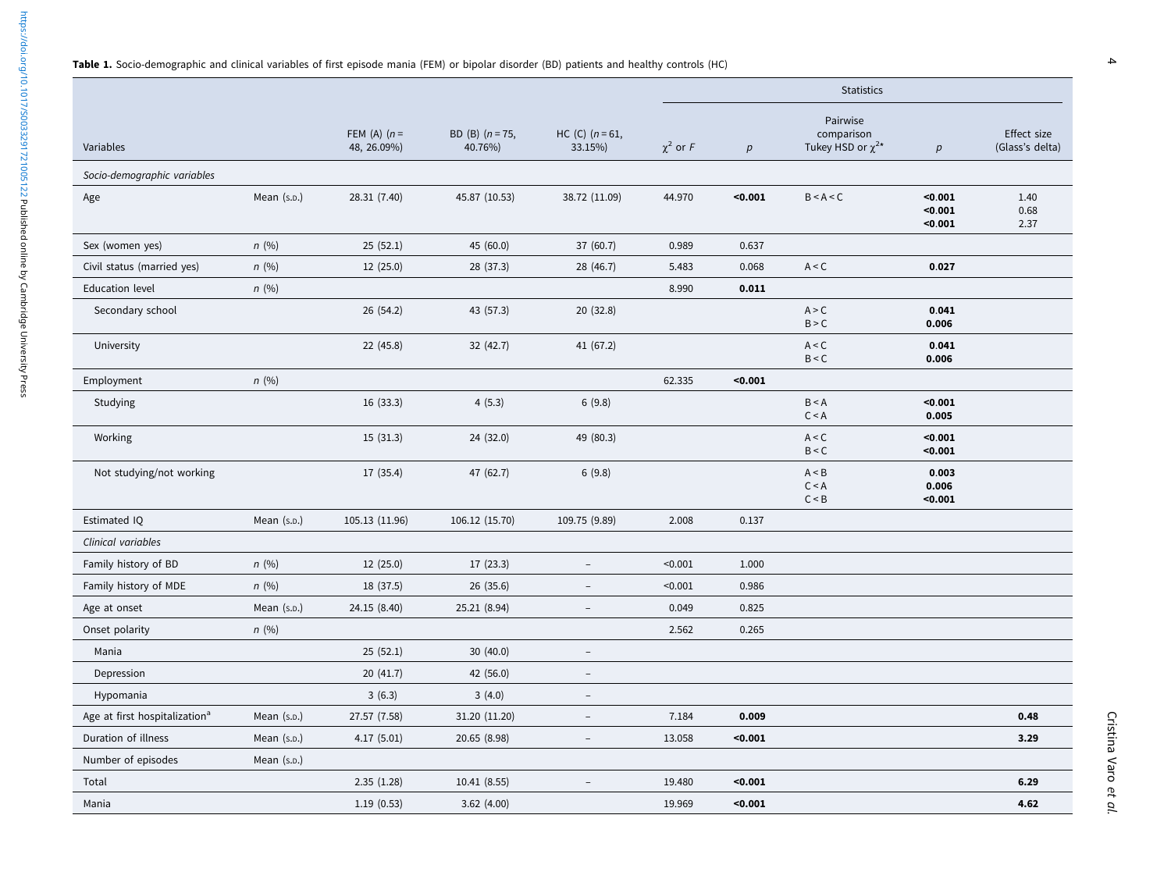<span id="page-3-0"></span>

|                                           |             |                               |                              |                                  | <b>Statistics</b> |         |                                                    |                               |                                |
|-------------------------------------------|-------------|-------------------------------|------------------------------|----------------------------------|-------------------|---------|----------------------------------------------------|-------------------------------|--------------------------------|
| Variables                                 |             | FEM (A) $(n =$<br>48, 26.09%) | BD (B) $(n = 75,$<br>40.76%) | $HC (C)$ ( $n = 61$ ,<br>33.15%) | $\chi^2$ or F     | p       | Pairwise<br>comparison<br>Tukey HSD or $\chi^{2*}$ | p                             | Effect size<br>(Glass's delta) |
| Socio-demographic variables               |             |                               |                              |                                  |                   |         |                                                    |                               |                                |
| Age                                       | Mean (s.p.) | 28.31 (7.40)                  | 45.87 (10.53)                | 38.72 (11.09)                    | 44.970            | $0.001$ | B < A < C                                          | < 0.001<br>< 0.001<br>< 0.001 | 1.40<br>0.68<br>2.37           |
| Sex (women yes)                           | n(%)        | 25(52.1)                      | 45 (60.0)                    | 37(60.7)                         | 0.989             | 0.637   |                                                    |                               |                                |
| Civil status (married yes)                | n(%)        | 12 (25.0)                     | 28 (37.3)                    | 28 (46.7)                        | 5.483             | 0.068   | A < C                                              | 0.027                         |                                |
| <b>Education level</b>                    | n(%)        |                               |                              |                                  | 8.990             | 0.011   |                                                    |                               |                                |
| Secondary school                          |             | 26 (54.2)                     | 43 (57.3)                    | 20(32.8)                         |                   |         | A > C<br>B > C                                     | 0.041<br>0.006                |                                |
| University                                |             | 22 (45.8)                     | 32 (42.7)                    | 41 (67.2)                        |                   |         | A < C<br>B < C                                     | 0.041<br>0.006                |                                |
| Employment                                | n(%)        |                               |                              |                                  | 62.335            | < 0.001 |                                                    |                               |                                |
| Studying                                  |             | 16(33.3)                      | 4(5.3)                       | 6(9.8)                           |                   |         | B < A<br>C < A                                     | < 0.001<br>0.005              |                                |
| Working                                   |             | 15 (31.3)                     | 24(32.0)                     | 49 (80.3)                        |                   |         | A < C<br>B < C                                     | < 0.001<br>< 0.001            |                                |
| Not studying/not working                  |             | 17 (35.4)                     | 47 (62.7)                    | 6(9.8)                           |                   |         | A < B<br>C < A<br>C < B                            | 0.003<br>0.006<br>< 0.001     |                                |
| Estimated IQ                              | Mean (s.p.) | 105.13 (11.96)                | 106.12 (15.70)               | 109.75 (9.89)                    | 2.008             | 0.137   |                                                    |                               |                                |
| Clinical variables                        |             |                               |                              |                                  |                   |         |                                                    |                               |                                |
| Family history of BD                      | n(%)        | 12 (25.0)                     | 17(23.3)                     | $\overline{\phantom{a}}$         | < 0.001           | 1.000   |                                                    |                               |                                |
| Family history of MDE                     | n(%)        | 18 (37.5)                     | 26 (35.6)                    | $\overline{\phantom{a}}$         | < 0.001           | 0.986   |                                                    |                               |                                |
| Age at onset                              | Mean (s.p.) | 24.15 (8.40)                  | 25.21 (8.94)                 | $\overline{\phantom{a}}$         | 0.049             | 0.825   |                                                    |                               |                                |
| Onset polarity                            | n(%)        |                               |                              |                                  | 2.562             | 0.265   |                                                    |                               |                                |
| Mania                                     |             | 25(52.1)                      | 30(40.0)                     | $\overline{\phantom{a}}$         |                   |         |                                                    |                               |                                |
| Depression                                |             | 20(41.7)                      | 42 (56.0)                    | $\overline{\phantom{a}}$         |                   |         |                                                    |                               |                                |
| Hypomania                                 |             | 3(6.3)                        | 3(4.0)                       | $\overline{\phantom{a}}$         |                   |         |                                                    |                               |                                |
| Age at first hospitalization <sup>a</sup> | Mean (s.p.) | 27.57 (7.58)                  | 31.20 (11.20)                | $\overline{\phantom{a}}$         | 7.184             | 0.009   |                                                    |                               | 0.48                           |
| Duration of illness                       | Mean (s.p.) | 4.17(5.01)                    | 20.65 (8.98)                 | $\overline{\phantom{a}}$         | 13.058            | < 0.001 |                                                    |                               | 3.29                           |
| Number of episodes                        | Mean (s.p.) |                               |                              |                                  |                   |         |                                                    |                               |                                |
| Total                                     |             | 2.35(1.28)                    | 10.41(8.55)                  | $\overline{\phantom{a}}$         | 19.480            | $0.001$ |                                                    |                               | 6.29                           |
| Mania                                     |             | 1.19(0.53)                    | 3.62(4.00)                   |                                  | 19.969            | $0.001$ |                                                    |                               | 4.62                           |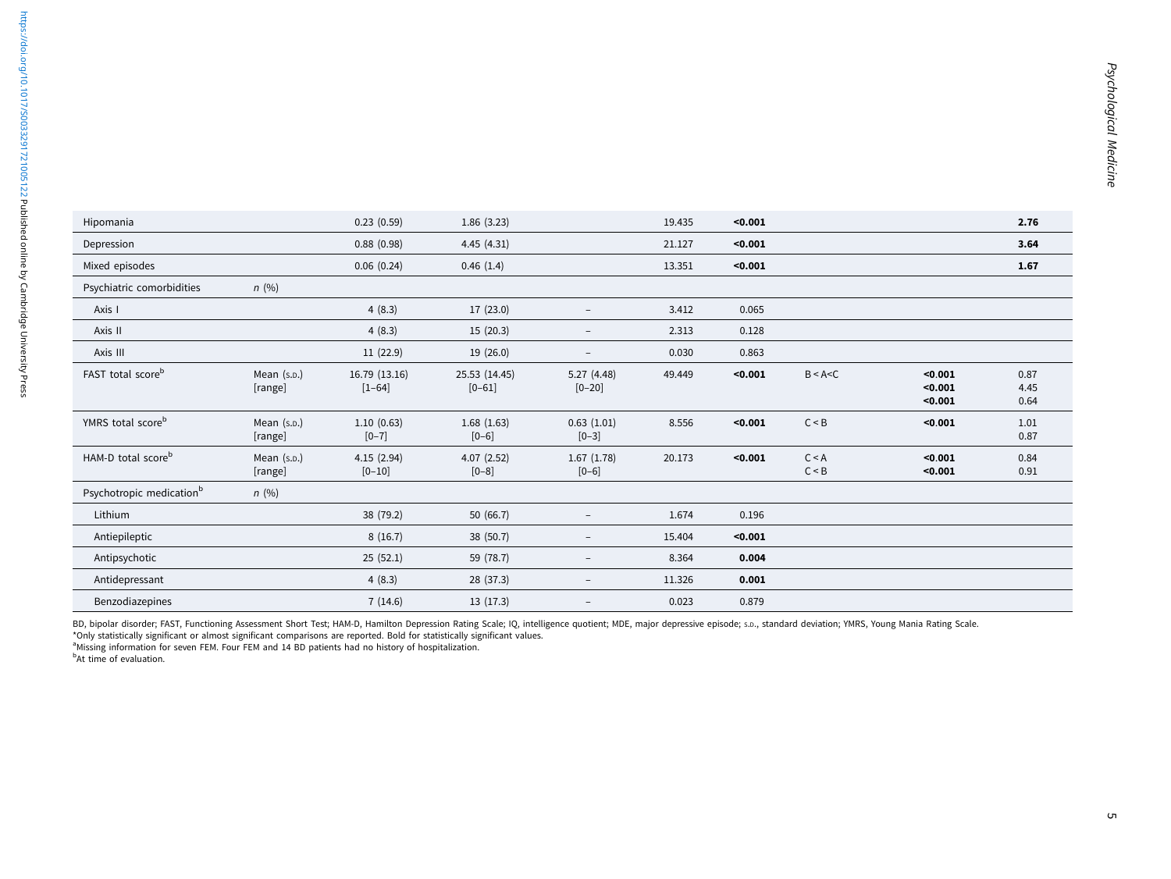| Hipomania                            |                        | 0.23(0.59)                  | 1.86(3.23)                  |                          | 19.435 | < 0.001 |                |                               | 2.76                 |
|--------------------------------------|------------------------|-----------------------------|-----------------------------|--------------------------|--------|---------|----------------|-------------------------------|----------------------|
| Depression                           |                        | 0.88(0.98)                  | 4.45(4.31)                  |                          | 21.127 | < 0.001 |                |                               | 3.64                 |
| Mixed episodes                       |                        | 0.06(0.24)                  | 0.46(1.4)                   |                          | 13.351 | < 0.001 |                |                               | 1.67                 |
| Psychiatric comorbidities            | n(%)                   |                             |                             |                          |        |         |                |                               |                      |
| Axis I                               |                        | 4(8.3)                      | 17 (23.0)                   | $\qquad \qquad -$        | 3.412  | 0.065   |                |                               |                      |
| Axis II                              |                        | 4(8.3)                      | 15(20.3)                    | $\bar{ }$                | 2.313  | 0.128   |                |                               |                      |
| Axis III                             |                        | 11(22.9)                    | 19(26.0)                    | $\overline{\phantom{a}}$ | 0.030  | 0.863   |                |                               |                      |
| FAST total scoreb                    | Mean (s.p.)<br>[range] | 16.79 (13.16)<br>$[1 - 64]$ | 25.53 (14.45)<br>$[0 - 61]$ | 5.27(4.48)<br>$[0-20]$   | 49.449 | < 0.001 | B < A < C      | < 0.001<br>< 0.001<br>< 0.001 | 0.87<br>4.45<br>0.64 |
| YMRS total scoreb                    | Mean (s.p.)<br>[range] | 1.10(0.63)<br>$[0 - 7]$     | 1.68(1.63)<br>$[0-6]$       | 0.63(1.01)<br>$[0-3]$    | 8.556  | < 0.001 | C < B          | < 0.001                       | 1.01<br>0.87         |
| HAM-D total score <sup>b</sup>       | Mean (s.p.)<br>[range] | 4.15(2.94)<br>$[0-10]$      | 4.07(2.52)<br>$[0-8]$       | 1.67(1.78)<br>$[0 - 6]$  | 20.173 | < 0.001 | C < A<br>C < B | < 0.001<br>< 0.001            | 0.84<br>0.91         |
| Psychotropic medication <sup>b</sup> | n(%)                   |                             |                             |                          |        |         |                |                               |                      |
| Lithium                              |                        | 38 (79.2)                   | 50(66.7)                    | $\overline{\phantom{m}}$ | 1.674  | 0.196   |                |                               |                      |
| Antiepileptic                        |                        | 8(16.7)                     | 38 (50.7)                   | $\qquad \qquad -$        | 15.404 | < 0.001 |                |                               |                      |
| Antipsychotic                        |                        | 25(52.1)                    | 59 (78.7)                   | $\overline{\phantom{m}}$ | 8.364  | 0.004   |                |                               |                      |
| Antidepressant                       |                        | 4(8.3)                      | 28 (37.3)                   | $\overline{\phantom{m}}$ | 11.326 | 0.001   |                |                               |                      |
| Benzodiazepines                      |                        | 7(14.6)                     | 13(17.3)                    | $\qquad \qquad -$        | 0.023  | 0.879   |                |                               |                      |

BD, bipolar disorder; FAST, Functioning Assessment Short Test; HAM-D, Hamilton Depression Rating Scale; IQ, intelligence quotient; MDE, major depressive episode; s.p., standard deviation; YMRS, Young Mania Rating Scale.<br>\*O

<sup>b</sup>At time of evaluation.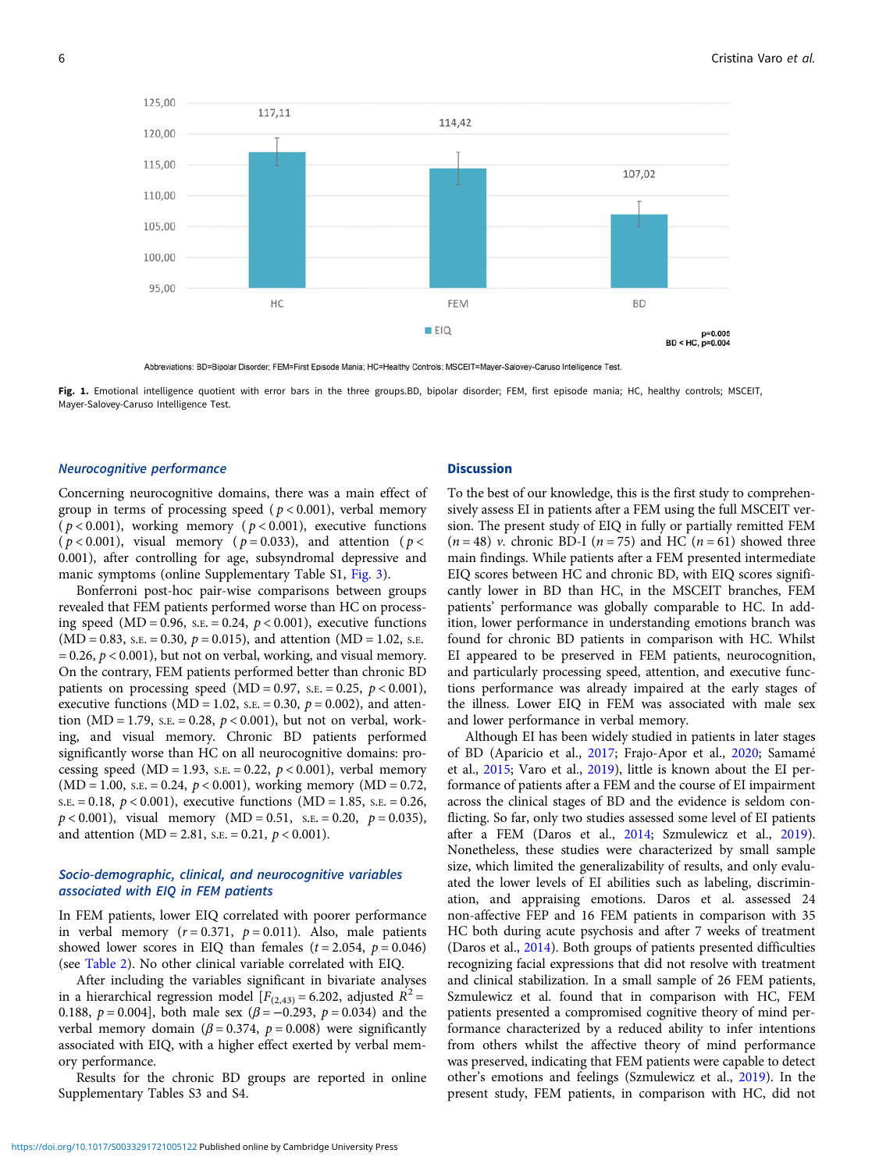<span id="page-5-0"></span>

Abbreviations: BD=Bipolar Disorder; FEM=First Episode Mania; HC=Healthy Controls; MSCEIT=Mayer-Salovey-Caruso Intelligence Test

Fig. 1. Emotional intelligence quotient with error bars in the three groups.BD, bipolar disorder; FEM, first episode mania; HC, healthy controls; MSCEIT, Mayer-Salovey-Caruso Intelligence Test.

#### Neurocognitive performance

Concerning neurocognitive domains, there was a main effect of group in terms of processing speed ( $p < 0.001$ ), verbal memory  $(p < 0.001)$ , working memory  $(p < 0.001)$ , executive functions ( $p < 0.001$ ), visual memory ( $p = 0.033$ ), and attention ( $p <$ 0.001), after controlling for age, subsyndromal depressive and manic symptoms (online Supplementary Table S1, [Fig. 3](#page-7-0)).

Bonferroni post-hoc pair-wise comparisons between groups revealed that FEM patients performed worse than HC on processing speed (MD = 0.96, s.e. = 0.24,  $p < 0.001$ ), executive functions  $(MD = 0.83, s.E. = 0.30, p = 0.015)$ , and attention  $(MD = 1.02, s.E.$  $= 0.26$ ,  $p < 0.001$ ), but not on verbal, working, and visual memory. On the contrary, FEM patients performed better than chronic BD patients on processing speed (MD = 0.97, s.E. = 0.25,  $p < 0.001$ ), executive functions (MD = 1.02, s.e. = 0.30,  $p = 0.002$ ), and attention (MD = 1.79, s.e. = 0.28,  $p < 0.001$ ), but not on verbal, working, and visual memory. Chronic BD patients performed significantly worse than HC on all neurocognitive domains: processing speed (MD = 1.93, s.E. = 0.22,  $p < 0.001$ ), verbal memory  $(MD = 1.00, s.E. = 0.24, p < 0.001)$ , working memory  $(MD = 0.72,$ s.e. = 0.18,  $p < 0.001$ ), executive functions (MD = 1.85, s.e. = 0.26,  $p < 0.001$ ), visual memory (MD = 0.51, s.e. = 0.20,  $p = 0.035$ ), and attention (MD = 2.81, s.e. = 0.21,  $p < 0.001$ ).

## Socio-demographic, clinical, and neurocognitive variables associated with EIQ in FEM patients

In FEM patients, lower EIQ correlated with poorer performance in verbal memory  $(r=0.371, p=0.011)$ . Also, male patients showed lower scores in EIQ than females  $(t = 2.054, p = 0.046)$ (see [Table 2](#page-8-0)). No other clinical variable correlated with EIQ.

After including the variables significant in bivariate analyses in a hierarchical regression model  $[F_{(2,43)} = 6.202$ , adjusted  $R^2 =$ 0.188,  $p = 0.004$ ], both male sex ( $\beta = -0.293$ ,  $p = 0.034$ ) and the verbal memory domain ( $\beta$  = 0.374,  $p$  = 0.008) were significantly associated with EIQ, with a higher effect exerted by verbal memory performance.

Results for the chronic BD groups are reported in online Supplementary Tables S3 and S4.

#### **Discussion**

To the best of our knowledge, this is the first study to comprehensively assess EI in patients after a FEM using the full MSCEIT version. The present study of EIQ in fully or partially remitted FEM  $(n = 48)$  v. chronic BD-I  $(n = 75)$  and HC  $(n = 61)$  showed three main findings. While patients after a FEM presented intermediate EIQ scores between HC and chronic BD, with EIQ scores significantly lower in BD than HC, in the MSCEIT branches, FEM patients' performance was globally comparable to HC. In addition, lower performance in understanding emotions branch was found for chronic BD patients in comparison with HC. Whilst EI appeared to be preserved in FEM patients, neurocognition, and particularly processing speed, attention, and executive functions performance was already impaired at the early stages of the illness. Lower EIQ in FEM was associated with male sex and lower performance in verbal memory.

Although EI has been widely studied in patients in later stages of BD (Aparicio et al., [2017;](#page-10-0) Frajo-Apor et al., [2020](#page-10-0); Samamé et al., [2015](#page-11-0); Varo et al., [2019](#page-11-0)), little is known about the EI performance of patients after a FEM and the course of EI impairment across the clinical stages of BD and the evidence is seldom conflicting. So far, only two studies assessed some level of EI patients after a FEM (Daros et al., [2014](#page-10-0); Szmulewicz et al., [2019](#page-11-0)). Nonetheless, these studies were characterized by small sample size, which limited the generalizability of results, and only evaluated the lower levels of EI abilities such as labeling, discrimination, and appraising emotions. Daros et al. assessed 24 non-affective FEP and 16 FEM patients in comparison with 35 HC both during acute psychosis and after 7 weeks of treatment (Daros et al., [2014](#page-10-0)). Both groups of patients presented difficulties recognizing facial expressions that did not resolve with treatment and clinical stabilization. In a small sample of 26 FEM patients, Szmulewicz et al. found that in comparison with HC, FEM patients presented a compromised cognitive theory of mind performance characterized by a reduced ability to infer intentions from others whilst the affective theory of mind performance was preserved, indicating that FEM patients were capable to detect other's emotions and feelings (Szmulewicz et al., [2019\)](#page-11-0). In the present study, FEM patients, in comparison with HC, did not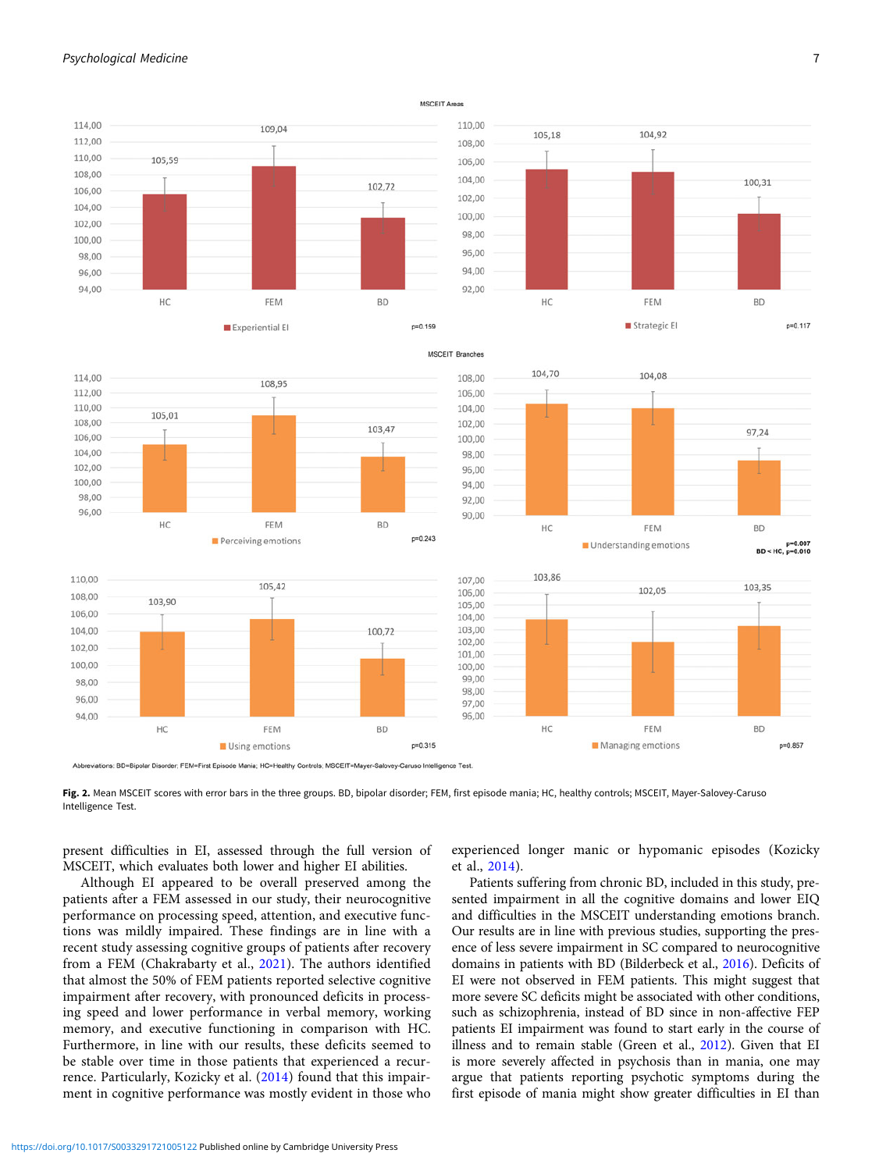## <span id="page-6-0"></span>Psychological Medicine 7



MSCEIT Areas



MSCEIT Branches



103.35

**RD** 

 $p=0.857$ 



Abbreviations: BD=Bipolar Disorder; FEM=First Episode Mania; HC=Healthy Controls; MSCEIT=Mayer-Salovey-Caruso Intelligence Test



present difficulties in EI, assessed through the full version of MSCEIT, which evaluates both lower and higher EI abilities.

Although EI appeared to be overall preserved among the patients after a FEM assessed in our study, their neurocognitive performance on processing speed, attention, and executive functions was mildly impaired. These findings are in line with a recent study assessing cognitive groups of patients after recovery from a FEM (Chakrabarty et al., [2021](#page-10-0)). The authors identified that almost the 50% of FEM patients reported selective cognitive impairment after recovery, with pronounced deficits in processing speed and lower performance in verbal memory, working memory, and executive functioning in comparison with HC. Furthermore, in line with our results, these deficits seemed to be stable over time in those patients that experienced a recurrence. Particularly, Kozicky et al. ([2014\)](#page-10-0) found that this impairment in cognitive performance was mostly evident in those who

experienced longer manic or hypomanic episodes (Kozicky et al., [2014](#page-10-0)).

Patients suffering from chronic BD, included in this study, presented impairment in all the cognitive domains and lower EIQ and difficulties in the MSCEIT understanding emotions branch. Our results are in line with previous studies, supporting the presence of less severe impairment in SC compared to neurocognitive domains in patients with BD (Bilderbeck et al., [2016\)](#page-10-0). Deficits of EI were not observed in FEM patients. This might suggest that more severe SC deficits might be associated with other conditions, such as schizophrenia, instead of BD since in non-affective FEP patients EI impairment was found to start early in the course of illness and to remain stable (Green et al., [2012\)](#page-10-0). Given that EI is more severely affected in psychosis than in mania, one may argue that patients reporting psychotic symptoms during the first episode of mania might show greater difficulties in EI than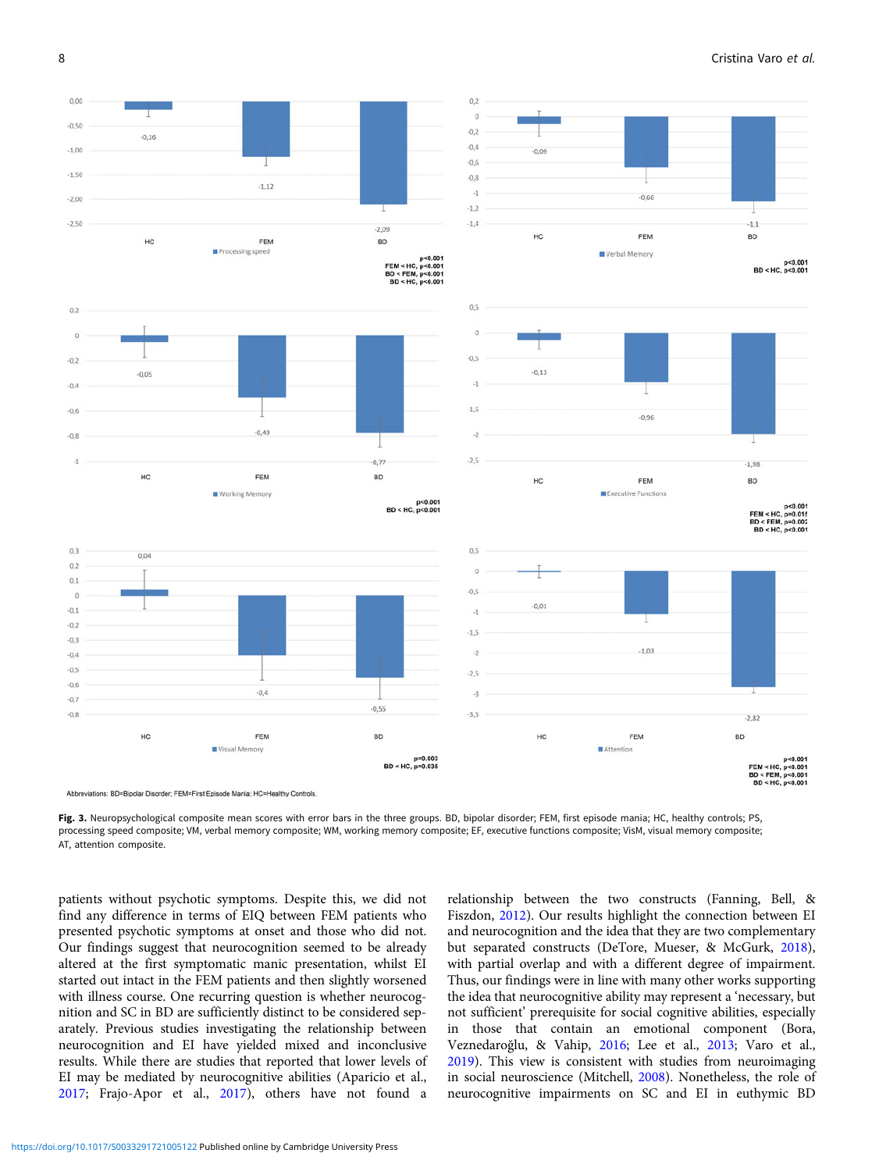<span id="page-7-0"></span>

Abbreviations: BD=Bipolar Disorder; FEM=First Episode Mania; HC=Healthy Controls

Fig. 3. Neuropsychological composite mean scores with error bars in the three groups. BD, bipolar disorder; FEM, first episode mania; HC, healthy controls; PS, processing speed composite; VM, verbal memory composite; WM, working memory composite; EF, executive functions composite; VisM, visual memory composite; AT, attention composite.

patients without psychotic symptoms. Despite this, we did not find any difference in terms of EIQ between FEM patients who presented psychotic symptoms at onset and those who did not. Our findings suggest that neurocognition seemed to be already altered at the first symptomatic manic presentation, whilst EI started out intact in the FEM patients and then slightly worsened with illness course. One recurring question is whether neurocognition and SC in BD are sufficiently distinct to be considered separately. Previous studies investigating the relationship between neurocognition and EI have yielded mixed and inconclusive results. While there are studies that reported that lower levels of EI may be mediated by neurocognitive abilities (Aparicio et al., [2017;](#page-10-0) Frajo-Apor et al., [2017](#page-10-0)), others have not found a relationship between the two constructs (Fanning, Bell, & Fiszdon, [2012\)](#page-10-0). Our results highlight the connection between EI and neurocognition and the idea that they are two complementary but separated constructs (DeTore, Mueser, & McGurk, [2018](#page-10-0)), with partial overlap and with a different degree of impairment. Thus, our findings were in line with many other works supporting the idea that neurocognitive ability may represent a 'necessary, but not sufficient' prerequisite for social cognitive abilities, especially in those that contain an emotional component (Bora, Veznedaroğlu, & Vahip, [2016;](#page-10-0) Lee et al., [2013;](#page-10-0) Varo et al., [2019\)](#page-11-0). This view is consistent with studies from neuroimaging in social neuroscience (Mitchell, [2008\)](#page-10-0). Nonetheless, the role of neurocognitive impairments on SC and EI in euthymic BD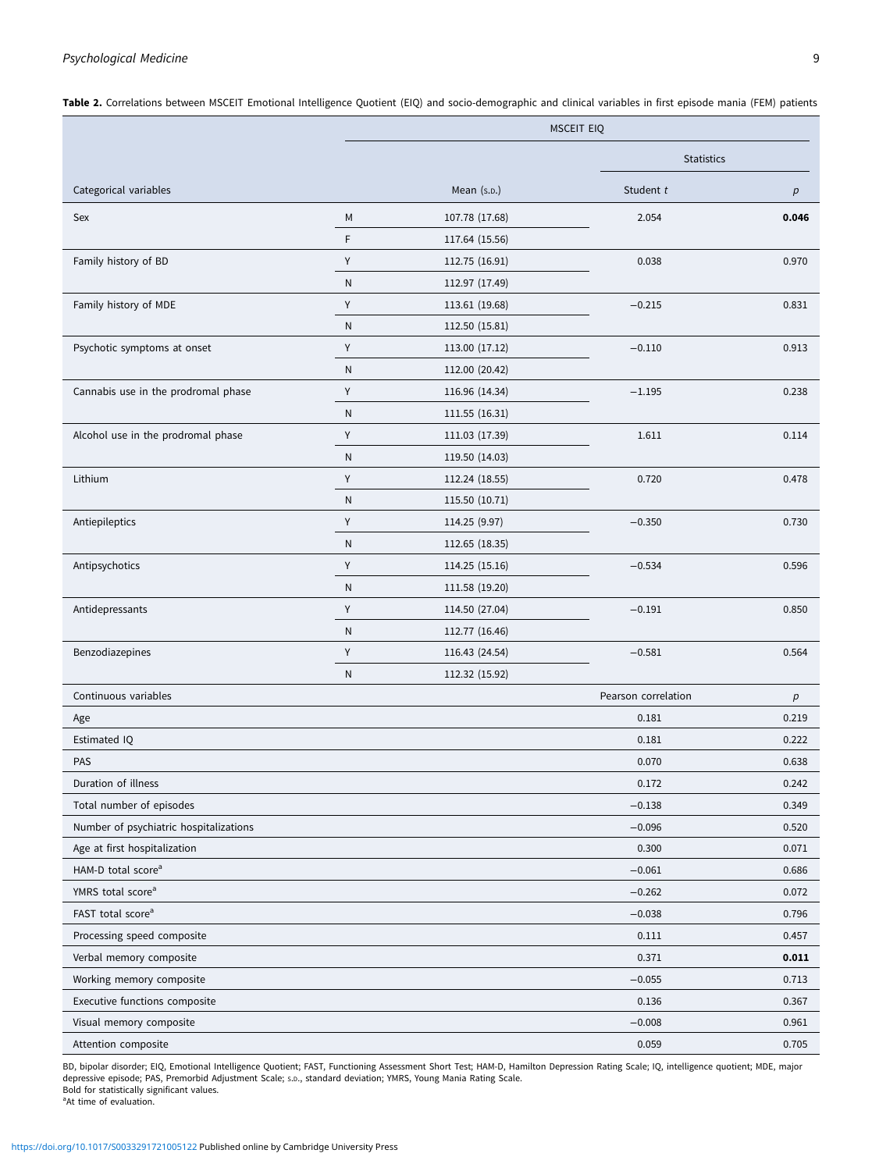<span id="page-8-0"></span>Table 2. Correlations between MSCEIT Emotional Intelligence Quotient (EIQ) and socio-demographic and clinical variables in first episode mania (FEM) patients

|                                        |           | <b>MSCEIT EIQ</b> |                     |       |  |  |  |
|----------------------------------------|-----------|-------------------|---------------------|-------|--|--|--|
|                                        |           |                   | <b>Statistics</b>   |       |  |  |  |
| Categorical variables                  |           | Mean (s.p.)       | Student t           | р     |  |  |  |
| Sex                                    | М         | 107.78 (17.68)    | 2.054               | 0.046 |  |  |  |
|                                        | F         | 117.64 (15.56)    |                     |       |  |  |  |
| Family history of BD                   | Υ         | 112.75 (16.91)    | 0.038               | 0.970 |  |  |  |
|                                        | ${\sf N}$ | 112.97 (17.49)    |                     |       |  |  |  |
| Family history of MDE                  | Υ         | 113.61 (19.68)    | $-0.215$            | 0.831 |  |  |  |
|                                        | ${\sf N}$ | 112.50 (15.81)    |                     |       |  |  |  |
| Psychotic symptoms at onset            | Υ         | 113.00 (17.12)    | $-0.110$            | 0.913 |  |  |  |
|                                        | ${\sf N}$ | 112.00 (20.42)    |                     |       |  |  |  |
| Cannabis use in the prodromal phase    | Υ         | 116.96 (14.34)    | $-1.195$            | 0.238 |  |  |  |
|                                        | ${\sf N}$ | 111.55 (16.31)    |                     |       |  |  |  |
| Alcohol use in the prodromal phase     | Υ         | 111.03 (17.39)    | 1.611               | 0.114 |  |  |  |
|                                        | ${\sf N}$ | 119.50 (14.03)    |                     |       |  |  |  |
| Lithium                                | Υ         | 112.24 (18.55)    | 0.720               | 0.478 |  |  |  |
|                                        | ${\sf N}$ | 115.50 (10.71)    |                     |       |  |  |  |
| Antiepileptics                         | Υ         | 114.25 (9.97)     | $-0.350$            | 0.730 |  |  |  |
|                                        | N         | 112.65 (18.35)    |                     |       |  |  |  |
| Antipsychotics                         | Υ         | 114.25 (15.16)    | $-0.534$            | 0.596 |  |  |  |
|                                        | ${\sf N}$ | 111.58 (19.20)    |                     |       |  |  |  |
| Antidepressants                        | Υ         | 114.50 (27.04)    | $-0.191$            | 0.850 |  |  |  |
|                                        | ${\sf N}$ | 112.77 (16.46)    |                     |       |  |  |  |
| Benzodiazepines                        | Υ         | 116.43 (24.54)    | $-0.581$            | 0.564 |  |  |  |
|                                        | ${\sf N}$ | 112.32 (15.92)    |                     |       |  |  |  |
| Continuous variables                   |           |                   | Pearson correlation | р     |  |  |  |
| Age                                    |           |                   | 0.181               | 0.219 |  |  |  |
| Estimated IQ                           |           |                   | 0.181               | 0.222 |  |  |  |
| PAS                                    |           |                   | 0.070               | 0.638 |  |  |  |
| Duration of illness                    |           |                   | 0.172               | 0.242 |  |  |  |
| Total number of episodes               |           |                   | $-0.138$            | 0.349 |  |  |  |
| Number of psychiatric hospitalizations |           |                   | $-0.096$            | 0.520 |  |  |  |
| Age at first hospitalization           |           |                   | 0.300               | 0.071 |  |  |  |
| HAM-D total score <sup>a</sup>         |           |                   | $-0.061$            | 0.686 |  |  |  |
| YMRS total score <sup>a</sup>          |           |                   | $-0.262$            | 0.072 |  |  |  |
| FAST total score <sup>a</sup>          |           |                   | $-0.038$            | 0.796 |  |  |  |
| Processing speed composite             |           |                   | 0.111               | 0.457 |  |  |  |
| Verbal memory composite                |           |                   | 0.371               | 0.011 |  |  |  |
| Working memory composite               |           |                   | $-0.055$            | 0.713 |  |  |  |
| Executive functions composite          |           |                   | 0.136               | 0.367 |  |  |  |
| Visual memory composite                |           |                   | $-0.008$            | 0.961 |  |  |  |
| Attention composite                    |           |                   | 0.059               | 0.705 |  |  |  |

BD, bipolar disorder; EIQ, Emotional Intelligence Quotient; FAST, Functioning Assessment Short Test; HAM-D, Hamilton Depression Rating Scale; IQ, intelligence quotient; MDE, major depressive episode; PAS, Premorbid Adjustment Scale; S.D., standard deviation; YMRS, Young Mania Rating Scale. Bold for statistically significant values. a At time of evaluation.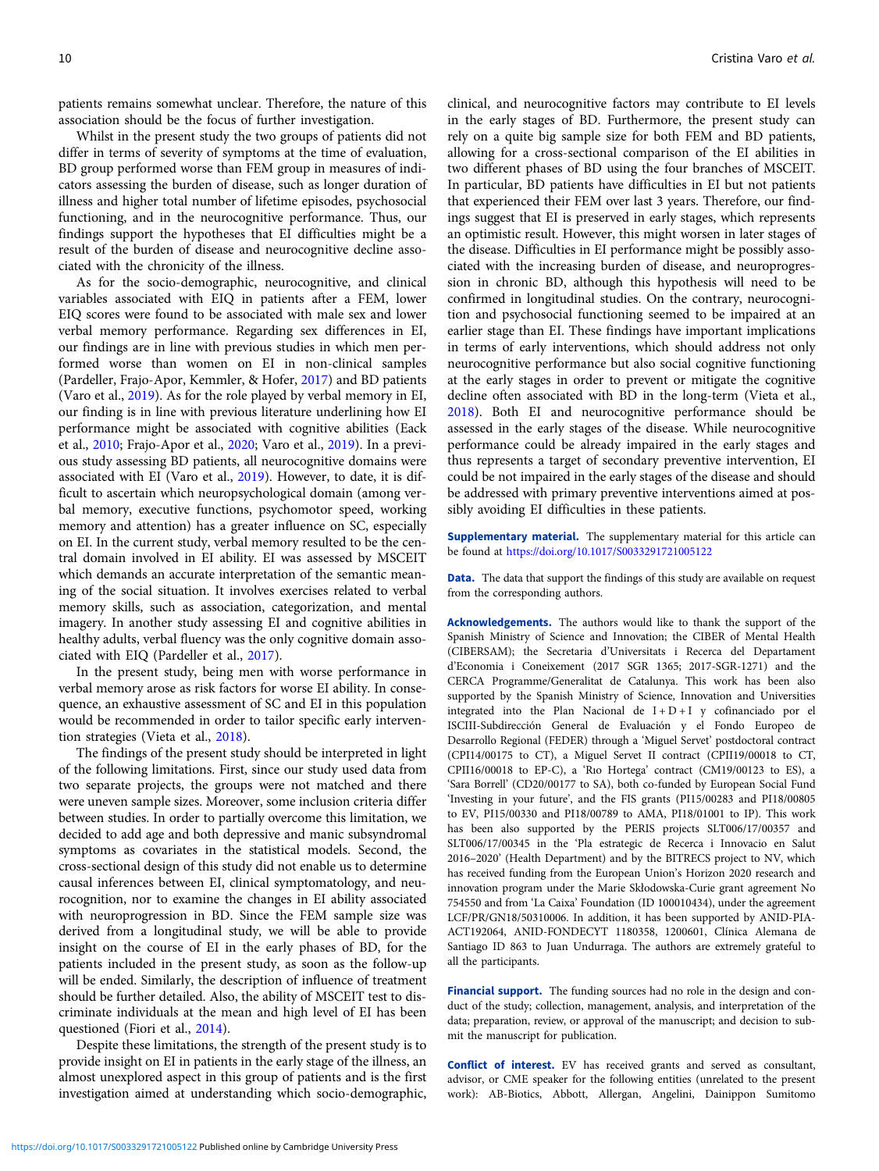patients remains somewhat unclear. Therefore, the nature of this association should be the focus of further investigation.

Whilst in the present study the two groups of patients did not differ in terms of severity of symptoms at the time of evaluation, BD group performed worse than FEM group in measures of indicators assessing the burden of disease, such as longer duration of illness and higher total number of lifetime episodes, psychosocial functioning, and in the neurocognitive performance. Thus, our findings support the hypotheses that EI difficulties might be a result of the burden of disease and neurocognitive decline associated with the chronicity of the illness.

As for the socio-demographic, neurocognitive, and clinical variables associated with EIQ in patients after a FEM, lower EIQ scores were found to be associated with male sex and lower verbal memory performance. Regarding sex differences in EI, our findings are in line with previous studies in which men performed worse than women on EI in non-clinical samples (Pardeller, Frajo-Apor, Kemmler, & Hofer, [2017](#page-10-0)) and BD patients (Varo et al., [2019\)](#page-11-0). As for the role played by verbal memory in EI, our finding is in line with previous literature underlining how EI performance might be associated with cognitive abilities (Eack et al., [2010](#page-10-0); Frajo-Apor et al., [2020;](#page-10-0) Varo et al., [2019](#page-11-0)). In a previous study assessing BD patients, all neurocognitive domains were associated with EI (Varo et al., [2019](#page-11-0)). However, to date, it is difficult to ascertain which neuropsychological domain (among verbal memory, executive functions, psychomotor speed, working memory and attention) has a greater influence on SC, especially on EI. In the current study, verbal memory resulted to be the central domain involved in EI ability. EI was assessed by MSCEIT which demands an accurate interpretation of the semantic meaning of the social situation. It involves exercises related to verbal memory skills, such as association, categorization, and mental imagery. In another study assessing EI and cognitive abilities in healthy adults, verbal fluency was the only cognitive domain associated with EIQ (Pardeller et al., [2017](#page-10-0)).

In the present study, being men with worse performance in verbal memory arose as risk factors for worse EI ability. In consequence, an exhaustive assessment of SC and EI in this population would be recommended in order to tailor specific early intervention strategies (Vieta et al., [2018](#page-11-0)).

The findings of the present study should be interpreted in light of the following limitations. First, since our study used data from two separate projects, the groups were not matched and there were uneven sample sizes. Moreover, some inclusion criteria differ between studies. In order to partially overcome this limitation, we decided to add age and both depressive and manic subsyndromal symptoms as covariates in the statistical models. Second, the cross-sectional design of this study did not enable us to determine causal inferences between EI, clinical symptomatology, and neurocognition, nor to examine the changes in EI ability associated with neuroprogression in BD. Since the FEM sample size was derived from a longitudinal study, we will be able to provide insight on the course of EI in the early phases of BD, for the patients included in the present study, as soon as the follow-up will be ended. Similarly, the description of influence of treatment should be further detailed. Also, the ability of MSCEIT test to discriminate individuals at the mean and high level of EI has been questioned (Fiori et al., [2014\)](#page-10-0).

Despite these limitations, the strength of the present study is to provide insight on EI in patients in the early stage of the illness, an almost unexplored aspect in this group of patients and is the first investigation aimed at understanding which socio-demographic,

clinical, and neurocognitive factors may contribute to EI levels in the early stages of BD. Furthermore, the present study can rely on a quite big sample size for both FEM and BD patients, allowing for a cross-sectional comparison of the EI abilities in two different phases of BD using the four branches of MSCEIT. In particular, BD patients have difficulties in EI but not patients that experienced their FEM over last 3 years. Therefore, our findings suggest that EI is preserved in early stages, which represents an optimistic result. However, this might worsen in later stages of the disease. Difficulties in EI performance might be possibly associated with the increasing burden of disease, and neuroprogression in chronic BD, although this hypothesis will need to be confirmed in longitudinal studies. On the contrary, neurocognition and psychosocial functioning seemed to be impaired at an earlier stage than EI. These findings have important implications in terms of early interventions, which should address not only neurocognitive performance but also social cognitive functioning at the early stages in order to prevent or mitigate the cognitive decline often associated with BD in the long-term (Vieta et al., [2018\)](#page-11-0). Both EI and neurocognitive performance should be assessed in the early stages of the disease. While neurocognitive performance could be already impaired in the early stages and thus represents a target of secondary preventive intervention, EI could be not impaired in the early stages of the disease and should be addressed with primary preventive interventions aimed at possibly avoiding EI difficulties in these patients.

Supplementary material. The supplementary material for this article can be found at <https://doi.org/10.1017/S0033291721005122>

Data. The data that support the findings of this study are available on request from the corresponding authors.

Acknowledgements. The authors would like to thank the support of the Spanish Ministry of Science and Innovation; the CIBER of Mental Health (CIBERSAM); the Secretaria d'Universitats i Recerca del Departament d'Economia i Coneixement (2017 SGR 1365; 2017-SGR-1271) and the CERCA Programme/Generalitat de Catalunya. This work has been also supported by the Spanish Ministry of Science, Innovation and Universities integrated into the Plan Nacional de  $I + D + I$  y cofinanciado por el ISCIII-Subdirección General de Evaluación y el Fondo Europeo de Desarrollo Regional (FEDER) through a 'Miguel Servet' postdoctoral contract (CPI14/00175 to CT), a Miguel Servet II contract (CPII19/00018 to CT, CPII16/00018 to EP-C), a 'Rıo Hortega' contract (CM19/00123 to ES), a 'Sara Borrell' (CD20/00177 to SA), both co-funded by European Social Fund 'Investing in your future', and the FIS grants (PI15/00283 and PI18/00805 to EV, PI15/00330 and PI18/00789 to AMA, PI18/01001 to IP). This work has been also supported by the PERIS projects SLT006/17/00357 and SLT006/17/00345 in the 'Pla estrategic de Recerca i Innovacio en Salut 2016–2020' (Health Department) and by the BITRECS project to NV, which has received funding from the European Union's Horizon 2020 research and innovation program under the Marie Skłodowska-Curie grant agreement No 754550 and from 'La Caixa' Foundation (ID 100010434), under the agreement LCF/PR/GN18/50310006. In addition, it has been supported by ANID-PIA-ACT192064, ANID-FONDECYT 1180358, 1200601, Clínica Alemana de Santiago ID 863 to Juan Undurraga. The authors are extremely grateful to all the participants.

Financial support. The funding sources had no role in the design and conduct of the study; collection, management, analysis, and interpretation of the data; preparation, review, or approval of the manuscript; and decision to submit the manuscript for publication.

Conflict of interest. EV has received grants and served as consultant, advisor, or CME speaker for the following entities (unrelated to the present work): AB-Biotics, Abbott, Allergan, Angelini, Dainippon Sumitomo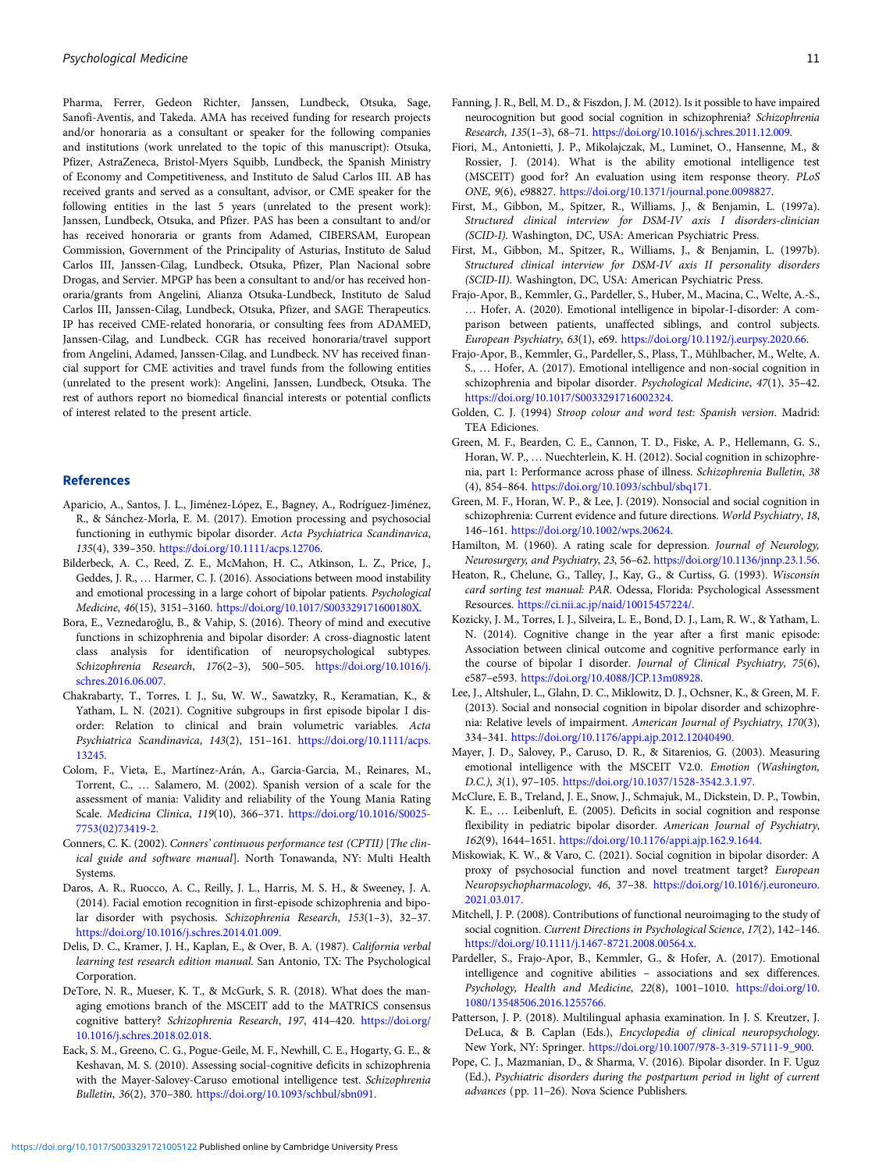<span id="page-10-0"></span>Pharma, Ferrer, Gedeon Richter, Janssen, Lundbeck, Otsuka, Sage, Sanofi-Aventis, and Takeda. AMA has received funding for research projects and/or honoraria as a consultant or speaker for the following companies and institutions (work unrelated to the topic of this manuscript): Otsuka, Pfizer, AstraZeneca, Bristol-Myers Squibb, Lundbeck, the Spanish Ministry of Economy and Competitiveness, and Instituto de Salud Carlos III. AB has received grants and served as a consultant, advisor, or CME speaker for the following entities in the last 5 years (unrelated to the present work): Janssen, Lundbeck, Otsuka, and Pfizer. PAS has been a consultant to and/or has received honoraria or grants from Adamed, CIBERSAM, European Commission, Government of the Principality of Asturias, Instituto de Salud Carlos III, Janssen-Cilag, Lundbeck, Otsuka, Pfizer, Plan Nacional sobre Drogas, and Servier. MPGP has been a consultant to and/or has received honoraria/grants from Angelini, Alianza Otsuka-Lundbeck, Instituto de Salud Carlos III, Janssen-Cilag, Lundbeck, Otsuka, Pfizer, and SAGE Therapeutics. IP has received CME-related honoraria, or consulting fees from ADAMED, Janssen-Cilag, and Lundbeck. CGR has received honoraria/travel support from Angelini, Adamed, Janssen-Cilag, and Lundbeck. NV has received financial support for CME activities and travel funds from the following entities (unrelated to the present work): Angelini, Janssen, Lundbeck, Otsuka. The rest of authors report no biomedical financial interests or potential conflicts of interest related to the present article.

#### References

- Aparicio, A., Santos, J. L., Jiménez-López, E., Bagney, A., Rodríguez-Jiménez, R., & Sánchez-Morla, E. M. (2017). Emotion processing and psychosocial functioning in euthymic bipolar disorder. Acta Psychiatrica Scandinavica, 135(4), 339–350. [https://doi.org/10.1111/acps.12706.](https://doi.org/10.1111/acps.12706)
- Bilderbeck, A. C., Reed, Z. E., McMahon, H. C., Atkinson, L. Z., Price, J., Geddes, J. R., … Harmer, C. J. (2016). Associations between mood instability and emotional processing in a large cohort of bipolar patients. Psychological Medicine, 46(15), 3151–3160. <https://doi.org/10.1017/S003329171600180X.>
- Bora, E., Veznedaroğlu, B., & Vahip, S. (2016). Theory of mind and executive functions in schizophrenia and bipolar disorder: A cross-diagnostic latent class analysis for identification of neuropsychological subtypes. Schizophrenia Research, 176(2–3), 500–505. [https://doi.org/10.1016/j.](https://doi.org/10.1016/j.schres.2016.06.007.) [schres.2016.06.007.](https://doi.org/10.1016/j.schres.2016.06.007.)
- Chakrabarty, T., Torres, I. J., Su, W. W., Sawatzky, R., Keramatian, K., & Yatham, L. N. (2021). Cognitive subgroups in first episode bipolar I disorder: Relation to clinical and brain volumetric variables. Acta Psychiatrica Scandinavica, 143(2), 151–161. [https://doi.org/10.1111/acps.](https://doi.org/10.1111/acps.13245.) [13245.](https://doi.org/10.1111/acps.13245.)
- Colom, F., Vieta, E., Martínez-Arán, A., Garcia-Garcia, M., Reinares, M., Torrent, C., … Salamero, M. (2002). Spanish version of a scale for the assessment of mania: Validity and reliability of the Young Mania Rating Scale. Medicina Clinica, 119(10), 366–371. [https://doi.org/10.1016/S0025-](https://doi.org/10.1016/S0025-7753(02)73419-2.) [7753\(02\)73419-2.](https://doi.org/10.1016/S0025-7753(02)73419-2.)
- Conners, C. K. (2002). Conners' continuous performance test (CPTII) [The clinical guide and software manual]. North Tonawanda, NY: Multi Health Systems.
- Daros, A. R., Ruocco, A. C., Reilly, J. L., Harris, M. S. H., & Sweeney, J. A. (2014). Facial emotion recognition in first-episode schizophrenia and bipolar disorder with psychosis. Schizophrenia Research, 153(1–3), 32–37. <https://doi.org/10.1016/j.schres.2014.01.009.>
- Delis, D. C., Kramer, J. H., Kaplan, E., & Over, B. A. (1987). California verbal learning test research edition manual. San Antonio, TX: The Psychological Corporation.
- DeTore, N. R., Mueser, K. T., & McGurk, S. R. (2018). What does the managing emotions branch of the MSCEIT add to the MATRICS consensus cognitive battery? Schizophrenia Research, 197, 414–420. [https://doi.org/](https://doi.org/10.1016/j.schres.2018.02.018) [10.1016/j.schres.2018.02.018.](https://doi.org/10.1016/j.schres.2018.02.018)
- Eack, S. M., Greeno, C. G., Pogue-Geile, M. F., Newhill, C. E., Hogarty, G. E., & Keshavan, M. S. (2010). Assessing social-cognitive deficits in schizophrenia with the Mayer-Salovey-Caruso emotional intelligence test. Schizophrenia Bulletin, 36(2), 370–380. [https://doi.org/10.1093/schbul/sbn091.](https://doi.org/10.1093/schbul/sbn091)
- Fiori, M., Antonietti, J. P., Mikolajczak, M., Luminet, O., Hansenne, M., & Rossier, J. (2014). What is the ability emotional intelligence test (MSCEIT) good for? An evaluation using item response theory. PLoS ONE, 9(6), e98827. [https://doi.org/10.1371/journal.pone.0098827.](https://doi.org/10.1371/journal.pone.0098827)
- First, M., Gibbon, M., Spitzer, R., Williams, J., & Benjamin, L. (1997a). Structured clinical interview for DSM-IV axis I disorders-clinician (SCID-I). Washington, DC, USA: American Psychiatric Press.
- First, M., Gibbon, M., Spitzer, R., Williams, J., & Benjamin, L. (1997b). Structured clinical interview for DSM-IV axis II personality disorders (SCID-II). Washington, DC, USA: American Psychiatric Press.
- Frajo-Apor, B., Kemmler, G., Pardeller, S., Huber, M., Macina, C., Welte, A.-S., … Hofer, A. (2020). Emotional intelligence in bipolar-I-disorder: A comparison between patients, unaffected siblings, and control subjects. European Psychiatry, 63(1), e69. <https://doi.org/10.1192/j.eurpsy.2020.66>.
- Frajo-Apor, B., Kemmler, G., Pardeller, S., Plass, T., Mühlbacher, M., Welte, A. S., … Hofer, A. (2017). Emotional intelligence and non-social cognition in schizophrenia and bipolar disorder. Psychological Medicine, 47(1), 35–42. <https://doi.org/10.1017/S0033291716002324.>
- Golden, C. J. (1994) Stroop colour and word test: Spanish version. Madrid: TEA Ediciones.
- Green, M. F., Bearden, C. E., Cannon, T. D., Fiske, A. P., Hellemann, G. S., Horan, W. P., … Nuechterlein, K. H. (2012). Social cognition in schizophrenia, part 1: Performance across phase of illness. Schizophrenia Bulletin, 38 (4), 854–864. <https://doi.org/10.1093/schbul/sbq171.>
- Green, M. F., Horan, W. P., & Lee, J. (2019). Nonsocial and social cognition in schizophrenia: Current evidence and future directions. World Psychiatry, 18, 146–161. <https://doi.org/10.1002/wps.20624.>
- Hamilton, M. (1960). A rating scale for depression. Journal of Neurology, Neurosurgery, and Psychiatry, 23, 56–62. <https://doi.org/10.1136/jnnp.23.1.56.>
- Heaton, R., Chelune, G., Talley, J., Kay, G., & Curtiss, G. (1993). Wisconsin card sorting test manual: PAR. Odessa, Florida: Psychological Assessment Resources. [https://ci.nii.ac.jp/naid/10015457224/.](https://ci.nii.ac.jp/naid/10015457224/)
- Kozicky, J. M., Torres, I. J., Silveira, L. E., Bond, D. J., Lam, R. W., & Yatham, L. N. (2014). Cognitive change in the year after a first manic episode: Association between clinical outcome and cognitive performance early in the course of bipolar I disorder. Journal of Clinical Psychiatry, 75(6), e587–e593. [https://doi.org/10.4088/JCP.13m08928.](https://doi.org/10.4088/JCP.13m08928)
- Lee, J., Altshuler, L., Glahn, D. C., Miklowitz, D. J., Ochsner, K., & Green, M. F. (2013). Social and nonsocial cognition in bipolar disorder and schizophrenia: Relative levels of impairment. American Journal of Psychiatry, 170(3), 334–341. <https://doi.org/10.1176/appi.ajp.2012.12040490.>
- Mayer, J. D., Salovey, P., Caruso, D. R., & Sitarenios, G. (2003). Measuring emotional intelligence with the MSCEIT V2.0. Emotion (Washington, D.C.), 3(1), 97–105. <https://doi.org/10.1037/1528-3542.3.1.97.>
- McClure, E. B., Treland, J. E., Snow, J., Schmajuk, M., Dickstein, D. P., Towbin, K. E., … Leibenluft, E. (2005). Deficits in social cognition and response flexibility in pediatric bipolar disorder. American Journal of Psychiatry, 162(9), 1644–1651. <https://doi.org/10.1176/appi.ajp.162.9.1644.>
- Miskowiak, K. W., & Varo, C. (2021). Social cognition in bipolar disorder: A proxy of psychosocial function and novel treatment target? European Neuropsychopharmacology, 46, 37–38. [https://doi.org/10.1016/j.euroneuro.](https://doi.org/10.1016/j.euroneuro.2021.03.017.) [2021.03.017.](https://doi.org/10.1016/j.euroneuro.2021.03.017.)
- Mitchell, J. P. (2008). Contributions of functional neuroimaging to the study of social cognition. Current Directions in Psychological Science, 17(2), 142–146. <https://doi.org/10.1111/j.1467-8721.2008.00564.x.>
- Pardeller, S., Frajo-Apor, B., Kemmler, G., & Hofer, A. (2017). Emotional intelligence and cognitive abilities – associations and sex differences. Psychology, Health and Medicine, 22(8), 1001–1010. [https://doi.org/10.](https://doi.org/10.1080/13548506.2016.1255766.) [1080/13548506.2016.1255766.](https://doi.org/10.1080/13548506.2016.1255766.)
- Patterson, J. P. (2018). Multilingual aphasia examination. In J. S. Kreutzer, J. DeLuca, & B. Caplan (Eds.), Encyclopedia of clinical neuropsychology. New York, NY: Springer. [https://doi.org/10.1007/978-3-319-57111-9\\_900](https://doi.org/10.1007/978-3-319-57111-9_900).
- Pope, C. J., Mazmanian, D., & Sharma, V. (2016). Bipolar disorder. In F. Uguz (Ed.), Psychiatric disorders during the postpartum period in light of current advances (pp. 11–26). Nova Science Publishers.